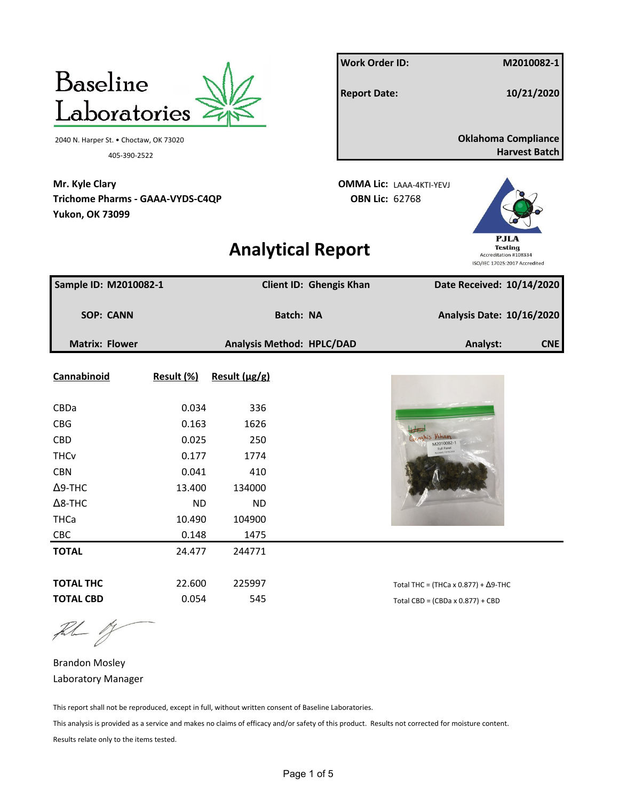

the 1

Brandon Mosley Laboratory Manager

This report shall not be reproduced, except in full, without written consent of Baseline Laboratories.

This analysis is provided as a service and makes no claims of efficacy and/or safety of this product. Results not corrected for moisture content. Results relate only to the items tested.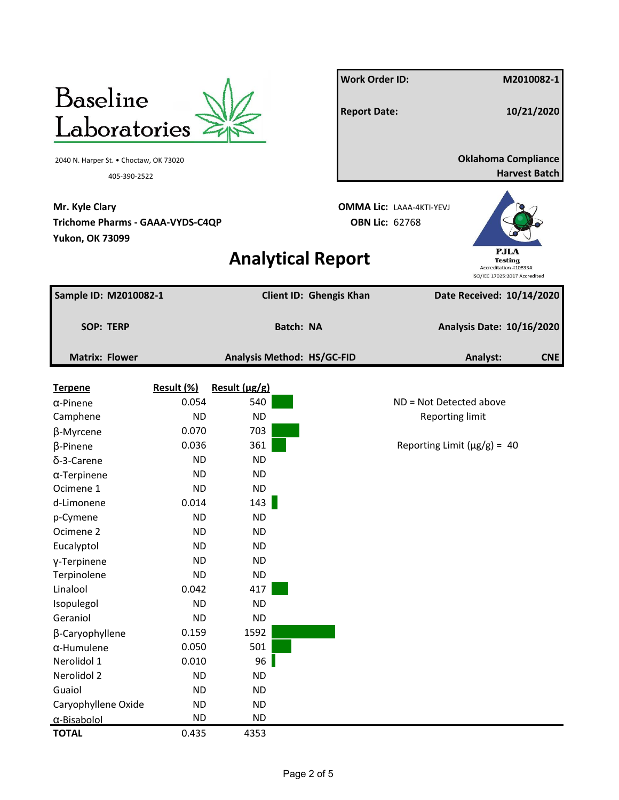

**Mr. Kyle Clary OMMA Lic:** LAAA-4KTI-YEVJ **Trichome Pharms - GAAA-VYDS-C4QP OBN Lic:** 62768 **Yukon, OK 73099**

**Work Order ID: M2010082-1 Report Date: 10/21/2020** 2040 N. Harper St. • Choctaw, OK 73020 **Oklahoma Compliance** 405-390-2522 **Harvest Batch**



## **Analytical Report**

| Sample ID: M2010082-1 |            |                            | Client ID: Ghengis Khan | Date Received: 10/14/2020         |
|-----------------------|------------|----------------------------|-------------------------|-----------------------------------|
| <b>SOP: TERP</b>      |            | <b>Batch: NA</b>           |                         | <b>Analysis Date: 10/16/2020</b>  |
|                       |            |                            |                         |                                   |
| <b>Matrix: Flower</b> |            | Analysis Method: HS/GC-FID |                         | Analyst:<br><b>CNE</b>            |
| <b>Terpene</b>        | Result (%) | Result (µg/g)              |                         |                                   |
| $\alpha$ -Pinene      | 0.054      | 540                        |                         | ND = Not Detected above           |
| Camphene              | <b>ND</b>  | <b>ND</b>                  |                         | <b>Reporting limit</b>            |
| β-Myrcene             | 0.070      | 703                        |                         |                                   |
| β-Pinene              | 0.036      | 361                        |                         | Reporting Limit ( $\mu$ g/g) = 40 |
| δ-3-Carene            | <b>ND</b>  | <b>ND</b>                  |                         |                                   |
| $\alpha$ -Terpinene   | <b>ND</b>  | <b>ND</b>                  |                         |                                   |
| Ocimene 1             | <b>ND</b>  | <b>ND</b>                  |                         |                                   |
| d-Limonene            | 0.014      | 143                        |                         |                                   |
| p-Cymene              | <b>ND</b>  | <b>ND</b>                  |                         |                                   |
| Ocimene <sub>2</sub>  | <b>ND</b>  | <b>ND</b>                  |                         |                                   |
| Eucalyptol            | <b>ND</b>  | <b>ND</b>                  |                         |                                   |
| y-Terpinene           | <b>ND</b>  | <b>ND</b>                  |                         |                                   |
| Terpinolene           | <b>ND</b>  | <b>ND</b>                  |                         |                                   |
| Linalool              | 0.042      | 417                        |                         |                                   |
| Isopulegol            | <b>ND</b>  | <b>ND</b>                  |                         |                                   |
| Geraniol              | <b>ND</b>  | <b>ND</b>                  |                         |                                   |
| β-Caryophyllene       | 0.159      | 1592                       |                         |                                   |
| $\alpha$ -Humulene    | 0.050      | 501                        |                         |                                   |
| Nerolidol 1           | 0.010      | 96                         |                         |                                   |
| Nerolidol 2           | <b>ND</b>  | <b>ND</b>                  |                         |                                   |
| Guaiol                | <b>ND</b>  | <b>ND</b>                  |                         |                                   |
| Caryophyllene Oxide   | <b>ND</b>  | <b>ND</b>                  |                         |                                   |
| α-Bisabolol           | <b>ND</b>  | <b>ND</b>                  |                         |                                   |
| <b>TOTAL</b>          | 0.435      | 4353                       |                         |                                   |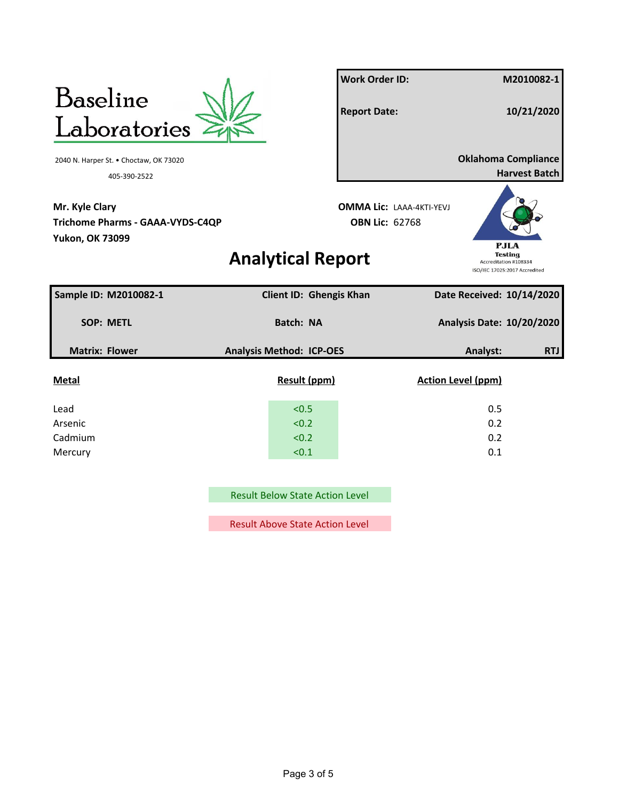

Result Below State Action Level

Result Above State Action Level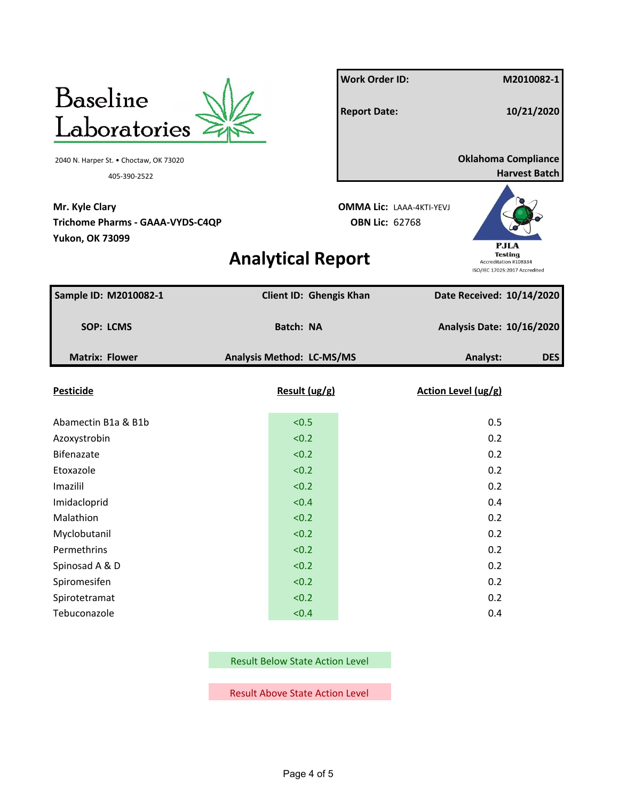

**Mr. Kyle Clary OMMA Lic:** LAAA-4KTI-YEVJ **Trichome Pharms - GAAA-VYDS-C4QP OBN Lic:** 62768 **Yukon, OK 73099**

**Work Order ID: M2010082-1 Report Date: 10/21/2020** 2040 N. Harper St. • Choctaw, OK 73020 **Oklahoma Compliance** 405-390-2522 **Harvest Batch**

## **Analytical Report**



| Sample ID: M2010082-1 | Client ID: Ghengis Khan   | Date Received: 10/14/2020        |            |
|-----------------------|---------------------------|----------------------------------|------------|
| <b>SOP: LCMS</b>      | Batch: NA                 | <b>Analysis Date: 10/16/2020</b> |            |
| <b>Matrix: Flower</b> | Analysis Method: LC-MS/MS | Analyst:                         | <b>DES</b> |
| <b>Pesticide</b>      | Result (ug/g)             | Action Level (ug/g)              |            |
| Abamectin B1a & B1b   | < 0.5                     | 0.5                              |            |
| Azoxystrobin          | < 0.2                     | 0.2                              |            |
| Bifenazate            | < 0.2                     | 0.2                              |            |
| Etoxazole             | < 0.2                     | 0.2                              |            |
| Imazilil              | < 0.2                     | 0.2                              |            |
| Imidacloprid          | < 0.4                     | 0.4                              |            |
| Malathion             | < 0.2                     | 0.2                              |            |
| Myclobutanil          | < 0.2                     | 0.2                              |            |
| Permethrins           | < 0.2                     | 0.2                              |            |
| Spinosad A & D        | < 0.2                     | 0.2                              |            |
| Spiromesifen          | < 0.2                     | 0.2                              |            |
| Spirotetramat         | < 0.2                     | 0.2                              |            |
| Tebuconazole          | < 0.4                     | 0.4                              |            |

Result Below State Action Level

Result Above State Action Level